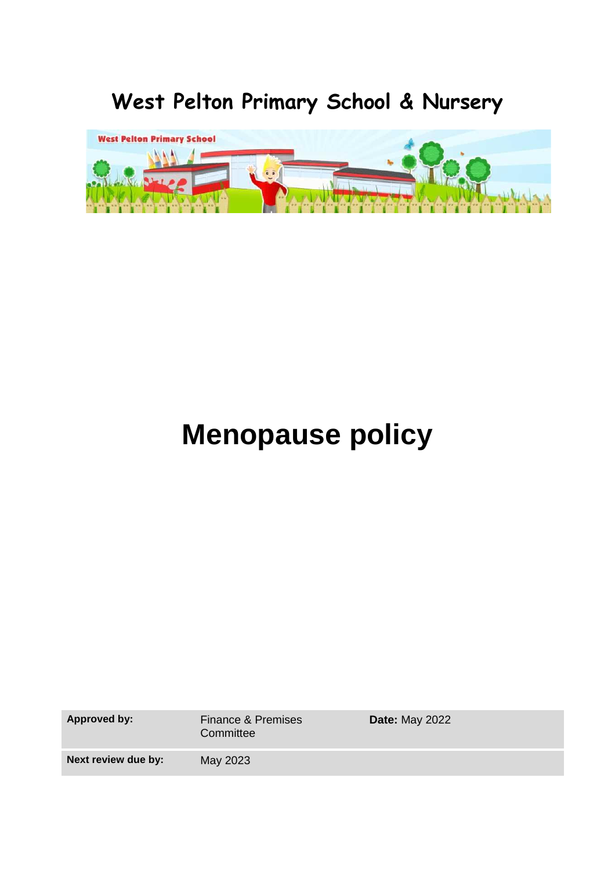# **West Pelton Primary School & Nursery**



# **Menopause policy**

| <b>Approved by:</b> | <b>Finance &amp; Premises</b><br>Committee | <b>Date: May 2022</b> |
|---------------------|--------------------------------------------|-----------------------|
| Next review due by: | May 2023                                   |                       |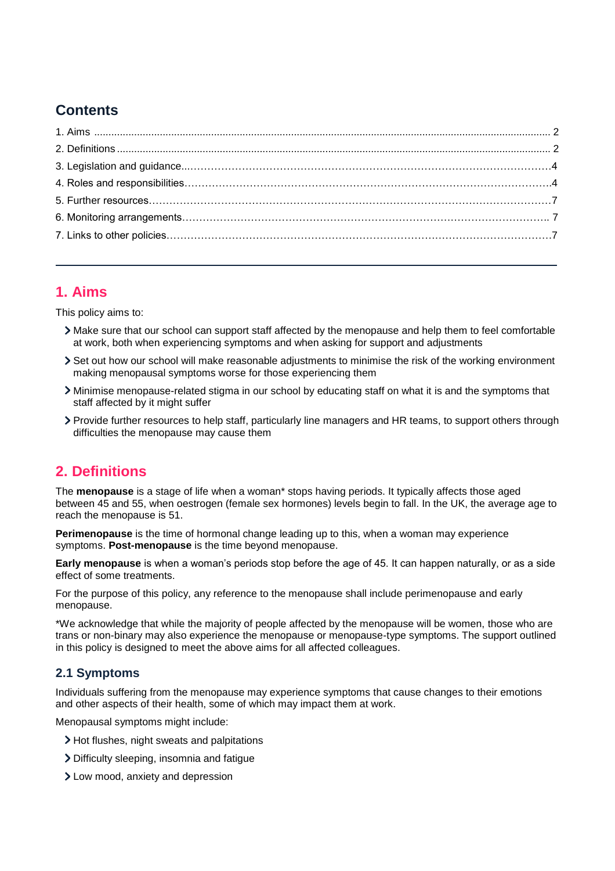# **Contents**

# <span id="page-1-0"></span>**1. Aims**

This policy aims to:

- Make sure that our school can support staff affected by the menopause and help them to feel comfortable at work, both when experiencing symptoms and when asking for support and adjustments
- Set out how our school will make reasonable adjustments to minimise the risk of the working environment making menopausal symptoms worse for those experiencing them
- Minimise menopause-related stigma in our school by educating staff on what it is and the symptoms that staff affected by it might suffer
- Provide further resources to help staff, particularly line managers and HR teams, to support others through difficulties the menopause may cause them

# <span id="page-1-1"></span>**2. Definitions**

The **menopause** is a stage of life when a woman\* stops having periods. It typically affects those aged between 45 and 55, when oestrogen (female sex hormones) levels begin to fall. In the UK, the average age to reach the menopause is 51.

**Perimenopause** is the time of hormonal change leading up to this, when a woman may experience symptoms. **Post-menopause** is the time beyond menopause.

**Early menopause** is when a woman's periods stop before the age of 45. It can happen naturally, or as a side effect of some treatments.

For the purpose of this policy, any reference to the menopause shall include perimenopause and early menopause.

\*We acknowledge that while the majority of people affected by the menopause will be women, those who are trans or non-binary may also experience the menopause or menopause-type symptoms. The support outlined in this policy is designed to meet the above aims for all affected colleagues.

#### **2.1 Symptoms**

Individuals suffering from the menopause may experience symptoms that cause changes to their emotions and other aspects of their health, some of which may impact them at work.

Menopausal symptoms might include:

- > Hot flushes, night sweats and palpitations
- Difficulty sleeping, insomnia and fatigue
- Low mood, anxiety and depression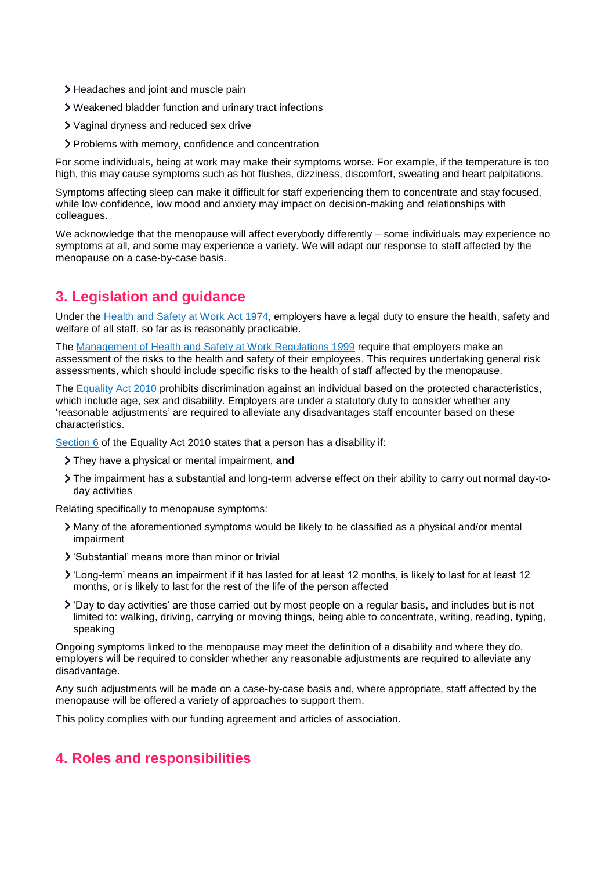- > Headaches and joint and muscle pain
- Weakened bladder function and urinary tract infections
- Vaginal dryness and reduced sex drive
- Problems with memory, confidence and concentration

For some individuals, being at work may make their symptoms worse. For example, if the temperature is too high, this may cause symptoms such as hot flushes, dizziness, discomfort, sweating and heart palpitations.

Symptoms affecting sleep can make it difficult for staff experiencing them to concentrate and stay focused, while low confidence, low mood and anxiety may impact on decision-making and relationships with colleagues.

We acknowledge that the menopause will affect everybody differently – some individuals may experience no symptoms at all, and some may experience a variety. We will adapt our response to staff affected by the menopause on a case-by-case basis.

# **3. Legislation and guidance**

Under the [Health and Safety at Work Act](https://www.legislation.gov.uk/ukpga/1974/37/section/2) 1974, employers have a legal duty to ensure the health, safety and welfare of all staff, so far as is reasonably practicable.

The [Management of Health and Safety at Work Regulations 1999](https://www.legislation.gov.uk/uksi/1999/3242/contents/made) require that employers make an assessment of the risks to the health and safety of their employees. This requires undertaking general risk assessments, which should include specific risks to the health of staff affected by the menopause.

The [Equality Act](https://www.legislation.gov.uk/ukpga/2010/15/contents) 2010 prohibits discrimination against an individual based on the protected characteristics, which include age, sex and disability. Employers are under a statutory duty to consider whether any 'reasonable adjustments' are required to alleviate any disadvantages staff encounter based on these characteristics.

[Section 6](https://www.legislation.gov.uk/ukpga/2010/15/section/6) of the Equality Act 2010 states that a person has a disability if:

- They have a physical or mental impairment, **and**
- The impairment has a substantial and long-term adverse effect on their ability to carry out normal day-today activities

Relating specifically to menopause symptoms:

- Many of the aforementioned symptoms would be likely to be classified as a physical and/or mental impairment
- 'Substantial' means more than minor or trivial
- 'Long-term' means an impairment if it has lasted for at least 12 months, is likely to last for at least 12 months, or is likely to last for the rest of the life of the person affected
- 'Day to day activities' are those carried out by most people on a regular basis, and includes but is not limited to: walking, driving, carrying or moving things, being able to concentrate, writing, reading, typing, speaking

Ongoing symptoms linked to the menopause may meet the definition of a disability and where they do, employers will be required to consider whether any reasonable adjustments are required to alleviate any disadvantage.

Any such adjustments will be made on a case-by-case basis and, where appropriate, staff affected by the menopause will be offered a variety of approaches to support them.

This policy complies with our funding agreement and articles of association.

# **4. Roles and responsibilities**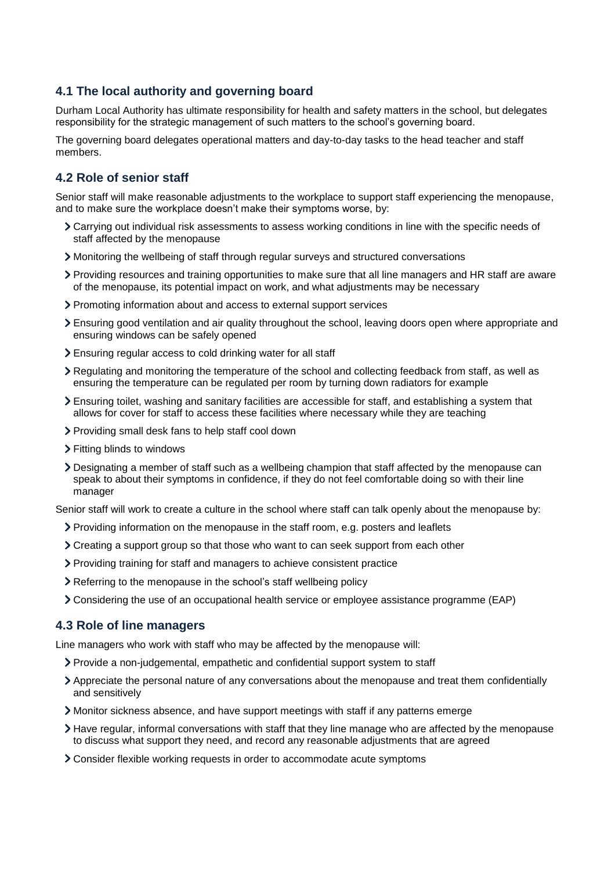#### **4.1 The local authority and governing board**

Durham Local Authority has ultimate responsibility for health and safety matters in the school, but delegates responsibility for the strategic management of such matters to the school's governing board.

The governing board delegates operational matters and day-to-day tasks to the head teacher and staff members.

#### **4.2 Role of senior staff**

Senior staff will make reasonable adjustments to the workplace to support staff experiencing the menopause, and to make sure the workplace doesn't make their symptoms worse, by:

- Carrying out individual risk assessments to assess working conditions in line with the specific needs of staff affected by the menopause
- Monitoring the wellbeing of staff through regular surveys and structured conversations
- Providing resources and training opportunities to make sure that all line managers and HR staff are aware of the menopause, its potential impact on work, and what adjustments may be necessary
- Promoting information about and access to external support services
- Ensuring good ventilation and air quality throughout the school, leaving doors open where appropriate and ensuring windows can be safely opened
- Ensuring regular access to cold drinking water for all staff
- Regulating and monitoring the temperature of the school and collecting feedback from staff, as well as ensuring the temperature can be regulated per room by turning down radiators for example
- Ensuring toilet, washing and sanitary facilities are accessible for staff, and establishing a system that allows for cover for staff to access these facilities where necessary while they are teaching
- Providing small desk fans to help staff cool down
- Fitting blinds to windows
- Designating a member of staff such as a wellbeing champion that staff affected by the menopause can speak to about their symptoms in confidence, if they do not feel comfortable doing so with their line manager

Senior staff will work to create a culture in the school where staff can talk openly about the menopause by:

- Providing information on the menopause in the staff room, e.g. posters and leaflets
- Creating a support group so that those who want to can seek support from each other
- Providing training for staff and managers to achieve consistent practice
- Referring to the menopause in the school's staff wellbeing policy
- Considering the use of an occupational health service or employee assistance programme (EAP)

#### **4.3 Role of line managers**

Line managers who work with staff who may be affected by the menopause will:

- Provide a non-judgemental, empathetic and confidential support system to staff
- Appreciate the personal nature of any conversations about the menopause and treat them confidentially and sensitively
- Monitor sickness absence, and have support meetings with staff if any patterns emerge
- Have regular, informal conversations with staff that they line manage who are affected by the menopause to discuss what support they need, and record any reasonable adjustments that are agreed
- Consider flexible working requests in order to accommodate acute symptoms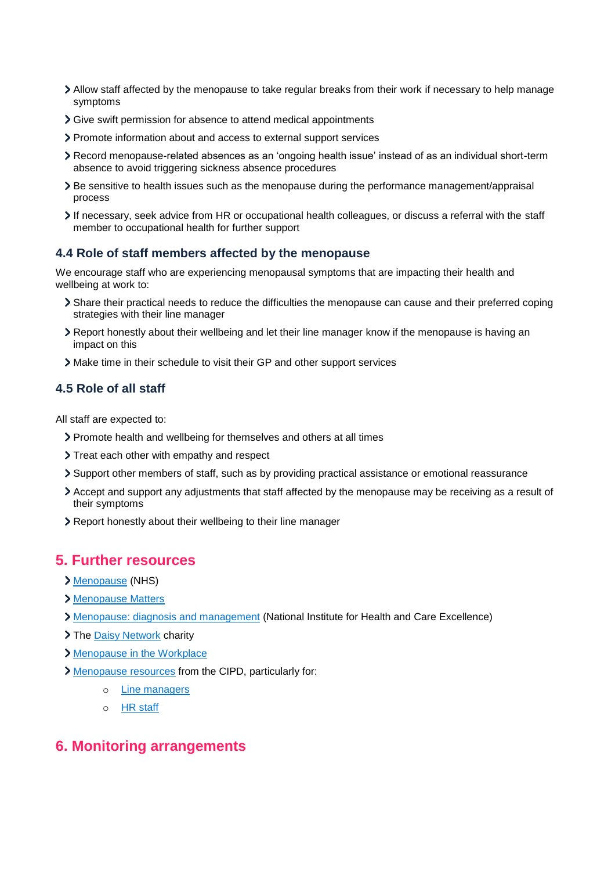- Allow staff affected by the menopause to take regular breaks from their work if necessary to help manage symptoms
- Give swift permission for absence to attend medical appointments
- Promote information about and access to external support services
- Record menopause-related absences as an 'ongoing health issue' instead of as an individual short-term absence to avoid triggering sickness absence procedures
- Be sensitive to health issues such as the menopause during the performance management/appraisal process
- If necessary, seek advice from HR or occupational health colleagues, or discuss a referral with the staff member to occupational health for further support

#### **4.4 Role of staff members affected by the menopause**

We encourage staff who are experiencing menopausal symptoms that are impacting their health and wellbeing at work to:

- Share their practical needs to reduce the difficulties the menopause can cause and their preferred coping strategies with their line manager
- Report honestly about their wellbeing and let their line manager know if the menopause is having an impact on this
- Make time in their schedule to visit their GP and other support services

#### **4.5 Role of all staff**

All staff are expected to:

- Promote health and wellbeing for themselves and others at all times
- > Treat each other with empathy and respect
- Support other members of staff, such as by providing practical assistance or emotional reassurance
- Accept and support any adjustments that staff affected by the menopause may be receiving as a result of their symptoms
- Report honestly about their wellbeing to their line manager

#### <span id="page-4-0"></span>**5. Further resources**

- [Menopause](https://www.nhs.uk/conditions/menopause/) (NHS)
- [Menopause Matters](https://www.menopausematters.co.uk/)
- [Menopause: diagnosis and management](https://www.nice.org.uk/guidance/ng23/ifp/chapter/About-this-information) (National Institute for Health and Care Excellence)
- > The [Daisy Network](https://www.daisynetwork.org/) charity
- [Menopause in the Workplace](https://menopauseintheworkplace.co.uk/articles/menopause-and-work-its-important/)
- [Menopause resources](https://www.cipd.co.uk/knowledge/culture/well-being/menopause#gref) from the CIPD, particularly for:
	- o [Line managers](https://www.cipd.co.uk/knowledge/culture/well-being/menopause/people-manager-guidance)
	- o [HR staff](https://www.cipd.co.uk/knowledge/culture/well-being/menopause/people-professionals-guidance)

#### **6. Monitoring arrangements**